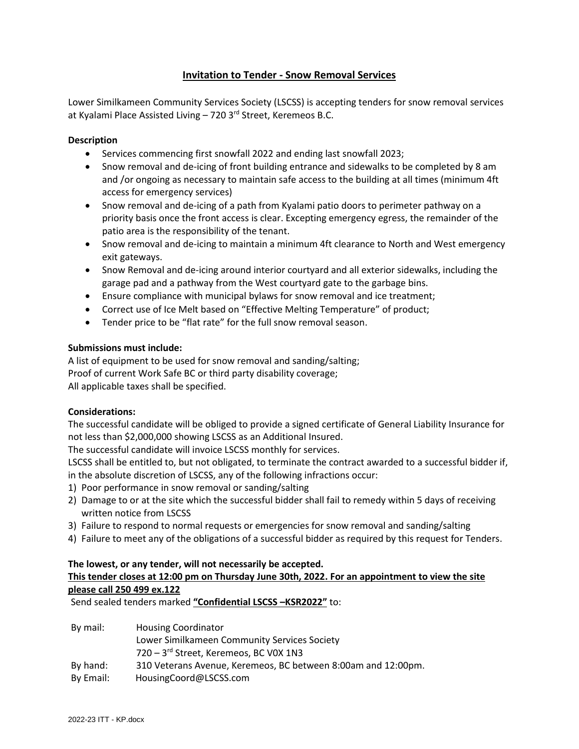# **Invitation to Tender - Snow Removal Services**

Lower Similkameen Community Services Society (LSCSS) is accepting tenders for snow removal services at Kyalami Place Assisted Living – 720 3<sup>rd</sup> Street, Keremeos B.C.

## **Description**

- Services commencing first snowfall 2022 and ending last snowfall 2023;
- Snow removal and de-icing of front building entrance and sidewalks to be completed by 8 am and /or ongoing as necessary to maintain safe access to the building at all times (minimum 4ft access for emergency services)
- Snow removal and de-icing of a path from Kyalami patio doors to perimeter pathway on a priority basis once the front access is clear. Excepting emergency egress, the remainder of the patio area is the responsibility of the tenant.
- Snow removal and de-icing to maintain a minimum 4ft clearance to North and West emergency exit gateways.
- Snow Removal and de-icing around interior courtyard and all exterior sidewalks, including the garage pad and a pathway from the West courtyard gate to the garbage bins.
- Ensure compliance with municipal bylaws for snow removal and ice treatment;
- Correct use of Ice Melt based on "Effective Melting Temperature" of product;
- Tender price to be "flat rate" for the full snow removal season.

### **Submissions must include:**

A list of equipment to be used for snow removal and sanding/salting; Proof of current Work Safe BC or third party disability coverage; All applicable taxes shall be specified.

# **Considerations:**

The successful candidate will be obliged to provide a signed certificate of General Liability Insurance for not less than \$2,000,000 showing LSCSS as an Additional Insured.

The successful candidate will invoice LSCSS monthly for services.

LSCSS shall be entitled to, but not obligated, to terminate the contract awarded to a successful bidder if, in the absolute discretion of LSCSS, any of the following infractions occur:

- 1) Poor performance in snow removal or sanding/salting
- 2) Damage to or at the site which the successful bidder shall fail to remedy within 5 days of receiving written notice from LSCSS
- 3) Failure to respond to normal requests or emergencies for snow removal and sanding/salting
- 4) Failure to meet any of the obligations of a successful bidder as required by this request for Tenders.

# **The lowest, or any tender, will not necessarily be accepted. This tender closes at 12:00 pm on Thursday June 30th, 2022. For an appointment to view the site please call 250 499 ex.122**

Send sealed tenders marked **"Confidential LSCSS –KSR2022"** to:

| By mail:  | <b>Housing Coordinator</b>                                    |
|-----------|---------------------------------------------------------------|
|           | Lower Similkameen Community Services Society                  |
|           | 720 - 3rd Street, Keremeos, BC V0X 1N3                        |
| By hand:  | 310 Veterans Avenue, Keremeos, BC between 8:00am and 12:00pm. |
| By Email: | HousingCoord@LSCSS.com                                        |